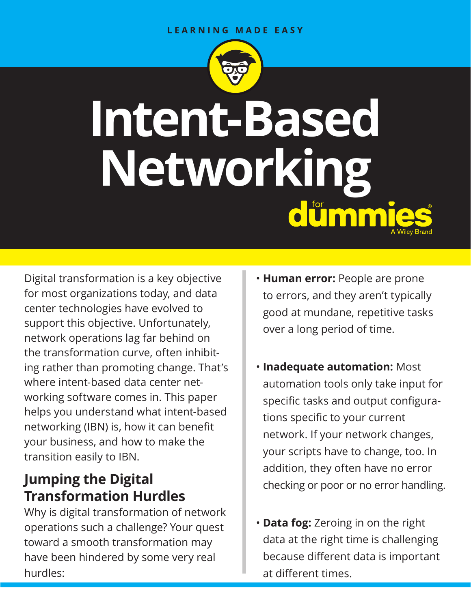#### **LEARNING MADE EASY**



# **Intent-Based Networking**  dummi

Digital transformation is a key objective for most organizations today, and data center technologies have evolved to support this objective. Unfortunately, network operations lag far behind on the transformation curve, often inhibiting rather than promoting change. That's where intent-based data center networking software comes in. This paper helps you understand what intent-based networking (IBN) is, how it can benefit your business, and how to make the transition easily to IBN.

## **Jumping the Digital Transformation Hurdles**

Why is digital transformation of network operations such a challenge? Your quest toward a smooth transformation may have been hindered by some very real hurdles:

- **Human error:** People are prone to errors, and they aren't typically good at mundane, repetitive tasks over a long period of time.
- **Inadequate automation:** Most automation tools only take input for specific tasks and output configurations specific to your current network. If your network changes, your scripts have to change, too. In addition, they often have no error checking or poor or no error handling.
- **Data fog:** Zeroing in on the right data at the right time is challenging because different data is important at different times.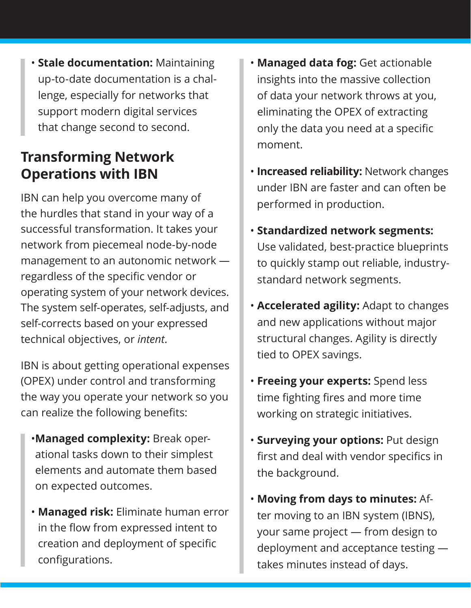• **Stale documentation:** Maintaining up-to-date documentation is a challenge, especially for networks that support modern digital services that change second to second.

## **Transforming Network Operations with IBN**

IBN can help you overcome many of the hurdles that stand in your way of a successful transformation. It takes your network from piecemeal node-by-node management to an autonomic network regardless of the specific vendor or operating system of your network devices. The system self-operates, self-adjusts, and self-corrects based on your expressed technical objectives, or *intent*.

IBN is about getting operational expenses (OPEX) under control and transforming the way you operate your network so you can realize the following benefits:

- •**Managed complexity:** Break operational tasks down to their simplest elements and automate them based on expected outcomes.
- **Managed risk:** Eliminate human error in the flow from expressed intent to creation and deployment of specific configurations.
- **Managed data fog:** Get actionable insights into the massive collection of data your network throws at you, eliminating the OPEX of extracting only the data you need at a specific moment.
- **Increased reliability:** Network changes under IBN are faster and can often be performed in production.
- **Standardized network segments:** Use validated, best-practice blueprints to quickly stamp out reliable, industrystandard network segments.
- **Accelerated agility:** Adapt to changes and new applications without major structural changes. Agility is directly tied to OPEX savings.
- **Freeing your experts:** Spend less time fighting fires and more time working on strategic initiatives.
- **Surveying your options:** Put design first and deal with vendor specifics in the background.
- **Moving from days to minutes:** After moving to an IBN system (IBNS), your same project — from design to deployment and acceptance testing takes minutes instead of days.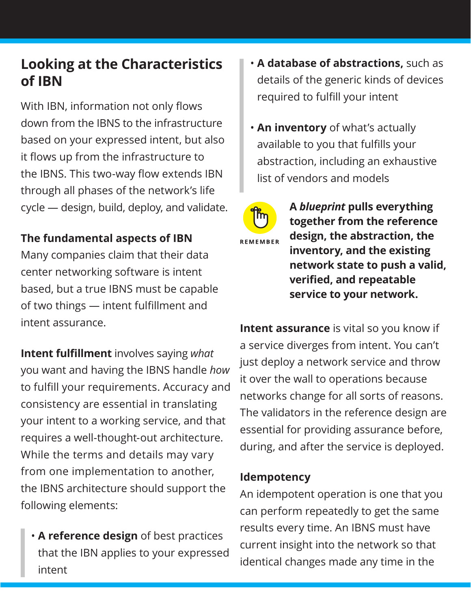## **Looking at the Characteristics of IBN**

With IBN, information not only flows down from the IBNS to the infrastructure based on your expressed intent, but also it flows up from the infrastructure to the IBNS. This two-way flow extends IBN through all phases of the network's life cycle — design, build, deploy, and validate.

### **The fundamental aspects of IBN**

Many companies claim that their data center networking software is intent based, but a true IBNS must be capable of two things — intent fulfillment and intent assurance.

**Intent fulfillment** involves saying *what* you want and having the IBNS handle *how* to fulfill your requirements. Accuracy and consistency are essential in translating your intent to a working service, and that requires a well-thought-out architecture. While the terms and details may vary from one implementation to another, the IBNS architecture should support the following elements:

• **A reference design** of best practices that the IBN applies to your expressed intent

- **A database of abstractions,** such as details of the generic kinds of devices required to fulfill your intent
- **An inventory** of what's actually available to you that fulfills your abstraction, including an exhaustive list of vendors and models



**A** *blueprint* **pulls everything together from the reference design, the abstraction, the inventory, and the existing network state to push a valid, verified, and repeatable service to your network.**

**Intent assurance** is vital so you know if a service diverges from intent. You can't just deploy a network service and throw it over the wall to operations because networks change for all sorts of reasons. The validators in the reference design are essential for providing assurance before, during, and after the service is deployed.

#### **Idempotency**

An idempotent operation is one that you can perform repeatedly to get the same results every time. An IBNS must have current insight into the network so that identical changes made any time in the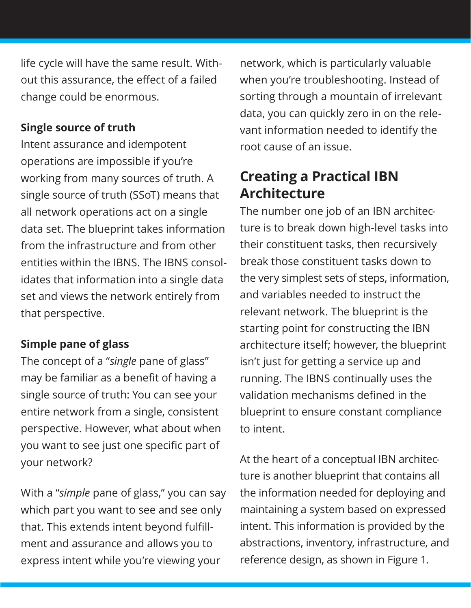life cycle will have the same result. Without this assurance, the effect of a failed change could be enormous.

#### **Single source of truth**

Intent assurance and idempotent operations are impossible if you're working from many sources of truth. A single source of truth (SSoT) means that all network operations act on a single data set. The blueprint takes information from the infrastructure and from other entities within the IBNS. The IBNS consolidates that information into a single data set and views the network entirely from that perspective.

#### **Simple pane of glass**

The concept of a "*single* pane of glass" may be familiar as a benefit of having a single source of truth: You can see your entire network from a single, consistent perspective. However, what about when you want to see just one specific part of your network?

With a "*simple* pane of glass," you can say which part you want to see and see only that. This extends intent beyond fulfillment and assurance and allows you to express intent while you're viewing your

network, which is particularly valuable when you're troubleshooting. Instead of sorting through a mountain of irrelevant data, you can quickly zero in on the relevant information needed to identify the root cause of an issue.

## **Creating a Practical IBN Architecture**

The number one job of an IBN architecture is to break down high-level tasks into their constituent tasks, then recursively break those constituent tasks down to the very simplest sets of steps, information, and variables needed to instruct the relevant network. The blueprint is the starting point for constructing the IBN architecture itself; however, the blueprint isn't just for getting a service up and running. The IBNS continually uses the validation mechanisms defined in the blueprint to ensure constant compliance to intent.

At the heart of a conceptual IBN architecture is another blueprint that contains all the information needed for deploying and maintaining a system based on expressed intent. This information is provided by the abstractions, inventory, infrastructure, and reference design, as shown in Figure 1.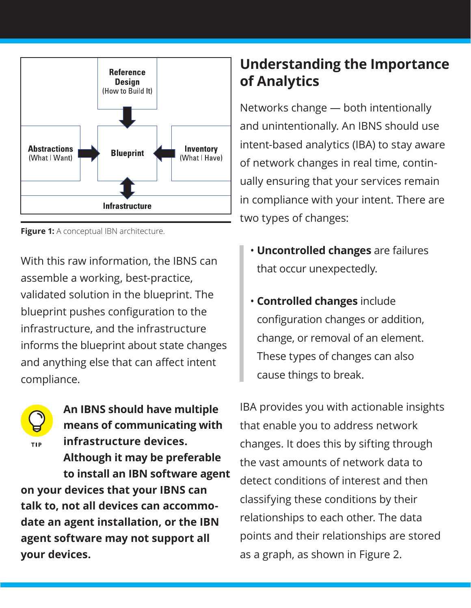

**Figure 1:** A conceptual IBN architecture.

With this raw information, the IBNS can assemble a working, best-practice, validated solution in the blueprint. The blueprint pushes configuration to the infrastructure, and the infrastructure informs the blueprint about state changes and anything else that can affect intent compliance.



**means of communicating with infrastructure devices. TIP Although it may be preferable to install an IBN software agent on your devices that your IBNS can talk to, not all devices can accommodate an agent installation, or the IBN agent software may not support all your devices.**

**An IBNS should have multiple** 

## **Understanding the Importance of Analytics**

Networks change — both intentionally and unintentionally. An IBNS should use intent-based analytics (IBA) to stay aware of network changes in real time, continually ensuring that your services remain in compliance with your intent. There are two types of changes:

- **Uncontrolled changes** are failures that occur unexpectedly.
- **Controlled changes** include configuration changes or addition, change, or removal of an element. These types of changes can also cause things to break.

IBA provides you with actionable insights that enable you to address network changes. It does this by sifting through the vast amounts of network data to detect conditions of interest and then classifying these conditions by their relationships to each other. The data points and their relationships are stored as a graph, as shown in Figure 2.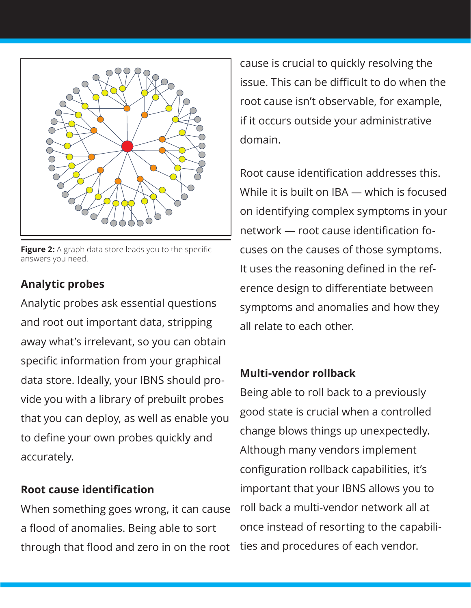

**Figure 2:** A graph data store leads you to the specific answers you need.

### **Analytic probes**

Analytic probes ask essential questions and root out important data, stripping away what's irrelevant, so you can obtain specific information from your graphical data store. Ideally, your IBNS should provide you with a library of prebuilt probes that you can deploy, as well as enable you to define your own probes quickly and accurately.

#### **Root cause identification**

When something goes wrong, it can cause a flood of anomalies. Being able to sort through that flood and zero in on the root cause is crucial to quickly resolving the issue. This can be difficult to do when the root cause isn't observable, for example, if it occurs outside your administrative domain.

Root cause identification addresses this. While it is built on IBA — which is focused on identifying complex symptoms in your network — root cause identification focuses on the causes of those symptoms. It uses the reasoning defined in the reference design to differentiate between symptoms and anomalies and how they all relate to each other.

#### **Multi-vendor rollback**

Being able to roll back to a previously good state is crucial when a controlled change blows things up unexpectedly. Although many vendors implement configuration rollback capabilities, it's important that your IBNS allows you to roll back a multi-vendor network all at once instead of resorting to the capabilities and procedures of each vendor.